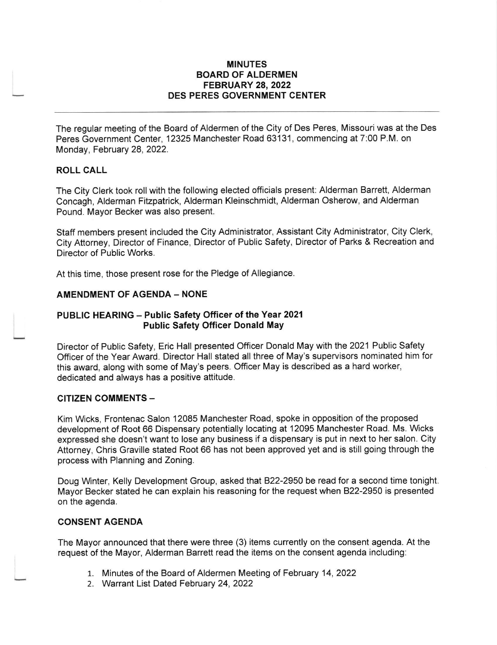### MINUTES BOARD OF ALDERMEN FEBRUARY 28,2022 DES PERES GOVERNMENT CENTER

The regular meeting of the Board of Aldermen of the City of Des Peres, Missouri was at the Des Peres Government Center, 12325 Manchester Road 63131, commencing at 7:00 P.M. on Monday, February 28, 2022.

### ROLL CALL

The City Clerk took roll with the following elected officials present: Alderman Barrett, Alderman Concagh, Alderman Fitzpatrick, Alderman Kleinschmidt, Alderman Osherow, and Alderman Pound. Mayor Becker was also present.

Staff members present included the City Administrator, Assistant Ciiy Administrator, City Clerk, City Attorney, Director of Finance, Director of Public Safety, Director of Parks & Recreation and Director of Public Works.

At this time, those present rose for the Pledge of Allegiance

### AMENDMENT OF AGENDA - NONE

### PUBLIC HEARING - Public Safety Officer of the Year 2021 Public Safety Officer Donald May

Director of Public Safety, Eric Hall presented Officer Donald May with the 2021 Public Safety Officer of the Year Award. Director Hall stated all three of May's supervisors nominated him for this award, along with some of May's peers. Officer May is described as a hard worker, dedicated and always has a positive attitude.

### CITIZEN COMMENTS -

Kim Wcks, Frontenac Salon 12085 Manchester Road, spoke in opposition of the proposed development of Root 66 Dispensary potentially locating at 12095 Manchester Road. Ms. Wicks expressed she doesn't want to lose any business if a dispensary is put in next to her salon. City Attorney, Chris Graville stated Root 66 has not been approved yet and is still going through the process with Planning and Zoning.

Doug Winter, Kelly Development Group, asked that 822-2950 be read for a second time tonight Mayor Becker stated he can explain his reasoning for the request when B22-2950 is presented on the agenda.

### CONSENT AGENDA

The Mayor announced that there were three (3) items currently on the consent agenda. At the request of the Mayor, Alderman Barrett read the items on the consent agenda including:

- 1. Minutes of the Board of Aldermen Meeting of February 14, <sup>2022</sup>
- 2. Warrant List Dated February 24,2022